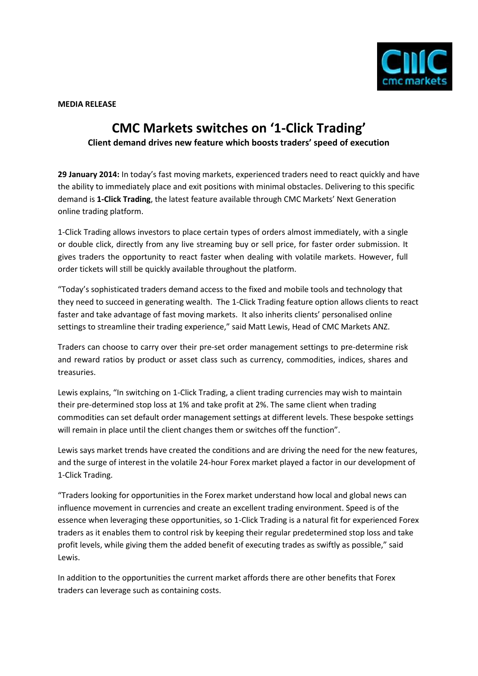

**MEDIA RELEASE**

## **CMC Markets switches on '1-Click Trading' Client demand drives new feature which boosts traders' speed of execution**

**29 January 2014:** In today's fast moving markets, experienced traders need to react quickly and have the ability to immediately place and exit positions with minimal obstacles. Delivering to this specific demand is **1-Click Trading**, the latest feature available through CMC Markets' Next Generation online trading platform.

1-Click Trading allows investors to place certain types of orders almost immediately, with a single or double click, directly from any live streaming buy or sell price, for faster order submission. It gives traders the opportunity to react faster when dealing with volatile markets. However, full order tickets will still be quickly available throughout the platform.

"Today's sophisticated traders demand access to the fixed and mobile tools and technology that they need to succeed in generating wealth. The 1-Click Trading feature option allows clients to react faster and take advantage of fast moving markets. It also inherits clients' personalised online settings to streamline their trading experience," said Matt Lewis, Head of CMC Markets ANZ.

Traders can choose to carry over their pre-set order management settings to pre-determine risk and reward ratios by product or asset class such as currency, commodities, indices, shares and treasuries.

Lewis explains, "In switching on 1-Click Trading, a client trading currencies may wish to maintain their pre-determined stop loss at 1% and take profit at 2%. The same client when trading commodities can set default order management settings at different levels. These bespoke settings will remain in place until the client changes them or switches off the function".

Lewis says market trends have created the conditions and are driving the need for the new features, and the surge of interest in the volatile 24-hour Forex market played a factor in our development of 1-Click Trading.

"Traders looking for opportunities in the Forex market understand how local and global news can influence movement in currencies and create an excellent trading environment. Speed is of the essence when leveraging these opportunities, so 1-Click Trading is a natural fit for experienced Forex traders as it enables them to control risk by keeping their regular predetermined stop loss and take profit levels, while giving them the added benefit of executing trades as swiftly as possible," said Lewis.

In addition to the opportunities the current market affords there are other benefits that Forex traders can leverage such as containing costs.